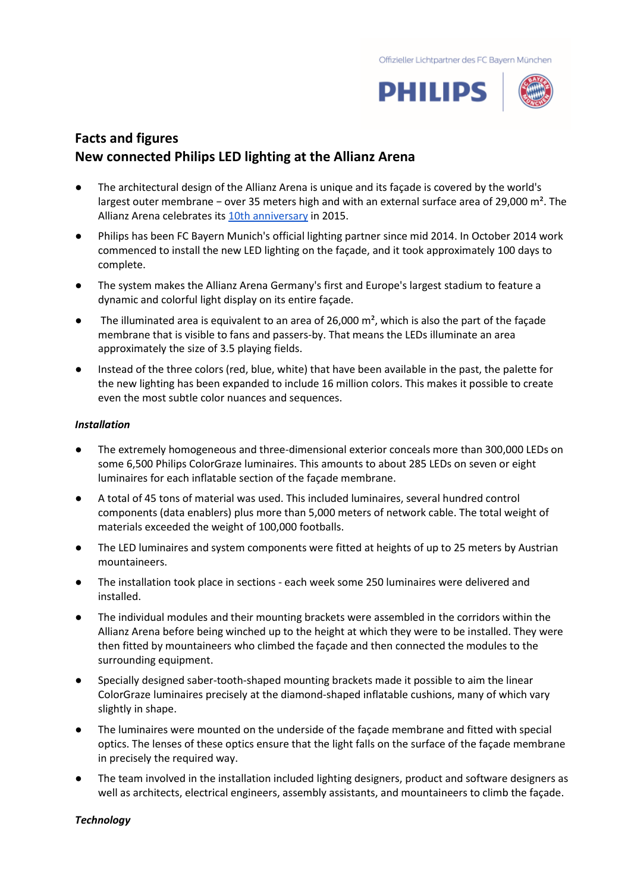

# **Facts and figures New connected Philips LED lighting at the Allianz Arena**

- The architectural design of the Allianz Arena is unique and its façade is covered by the world's largest outer membrane − over 35 meters high and with an external surface area of 29,000 m². The Allianz Arena celebrates it[s 10th anniversary](https://www.allianz-arena.de/de/aktuell/news-archiv/15995.php) in 2015.
- Philips has been FC Bayern Munich's official lighting partner since mid 2014. In October 2014 work commenced to install the new LED lighting on the façade, and it took approximately 100 days to complete.
- The system makes the Allianz Arena Germany's first and Europe's largest stadium to feature a dynamic and colorful light display on its entire façade.
- $\bullet$  The illuminated area is equivalent to an area of 26,000 m<sup>2</sup>, which is also the part of the facade membrane that is visible to fans and passers-by. That means the LEDs illuminate an area approximately the size of 3.5 playing fields.
- Instead of the three colors (red, blue, white) that have been available in the past, the palette for the new lighting has been expanded to include 16 million colors. This makes it possible to create even the most subtle color nuances and sequences.

## *Installation*

- The extremely homogeneous and three-dimensional exterior conceals more than 300,000 LEDs on some 6,500 Philips ColorGraze luminaires. This amounts to about 285 LEDs on seven or eight luminaires for each inflatable section of the façade membrane.
- A total of 45 tons of material was used. This included luminaires, several hundred control components (data enablers) plus more than 5,000 meters of network cable. The total weight of materials exceeded the weight of 100,000 footballs.
- The LED luminaires and system components were fitted at heights of up to 25 meters by Austrian mountaineers.
- The installation took place in sections each week some 250 luminaires were delivered and installed.
- The individual modules and their mounting brackets were assembled in the corridors within the Allianz Arena before being winched up to the height at which they were to be installed. They were then fitted by mountaineers who climbed the façade and then connected the modules to the surrounding equipment.
- Specially designed saber-tooth-shaped mounting brackets made it possible to aim the linear ColorGraze luminaires precisely at the diamond-shaped inflatable cushions, many of which vary slightly in shape.
- The luminaires were mounted on the underside of the façade membrane and fitted with special optics. The lenses of these optics ensure that the light falls on the surface of the façade membrane in precisely the required way.
- The team involved in the installation included lighting designers, product and software designers as well as architects, electrical engineers, assembly assistants, and mountaineers to climb the façade.

### *Technology*